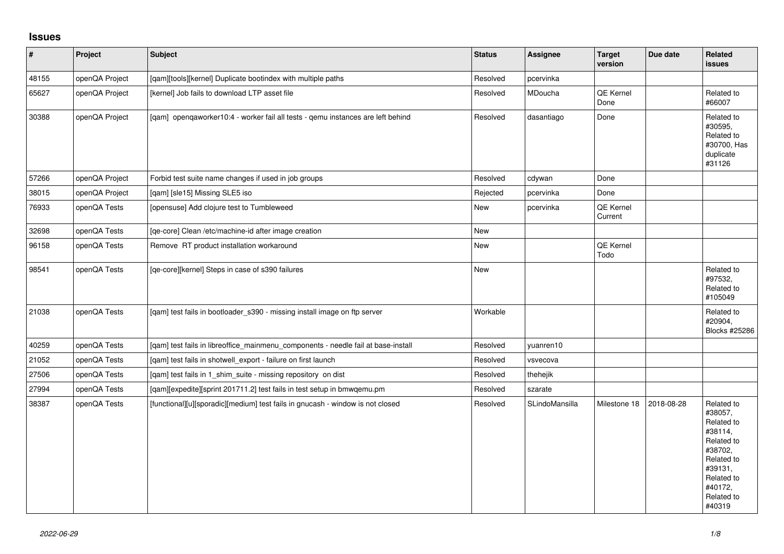## **Issues**

| $\vert$ # | Project        | <b>Subject</b>                                                                    | <b>Status</b> | Assignee              | <b>Target</b><br>version | Due date   | <b>Related</b><br><b>issues</b>                                                                                                                   |
|-----------|----------------|-----------------------------------------------------------------------------------|---------------|-----------------------|--------------------------|------------|---------------------------------------------------------------------------------------------------------------------------------------------------|
| 48155     | openQA Project | [qam][tools][kernel] Duplicate bootindex with multiple paths                      | Resolved      | pcervinka             |                          |            |                                                                                                                                                   |
| 65627     | openQA Project | [kernel] Job fails to download LTP asset file                                     | Resolved      | MDoucha               | QE Kernel<br>Done        |            | Related to<br>#66007                                                                                                                              |
| 30388     | openQA Project | [gam] opengaworker10:4 - worker fail all tests - gemu instances are left behind   | Resolved      | dasantiago            | Done                     |            | Related to<br>#30595,<br>Related to<br>#30700, Has<br>duplicate<br>#31126                                                                         |
| 57266     | openQA Project | Forbid test suite name changes if used in job groups                              | Resolved      | cdywan                | Done                     |            |                                                                                                                                                   |
| 38015     | openQA Project | [qam] [sle15] Missing SLE5 iso                                                    | Rejected      | pcervinka             | Done                     |            |                                                                                                                                                   |
| 76933     | openQA Tests   | [opensuse] Add clojure test to Tumbleweed                                         | <b>New</b>    | pcervinka             | QE Kernel<br>Current     |            |                                                                                                                                                   |
| 32698     | openQA Tests   | [qe-core] Clean /etc/machine-id after image creation                              | <b>New</b>    |                       |                          |            |                                                                                                                                                   |
| 96158     | openQA Tests   | Remove RT product installation workaround                                         | <b>New</b>    |                       | QE Kernel<br>Todo        |            |                                                                                                                                                   |
| 98541     | openQA Tests   | [ge-core][kernel] Steps in case of s390 failures                                  | New           |                       |                          |            | Related to<br>#97532,<br>Related to<br>#105049                                                                                                    |
| 21038     | openQA Tests   | [qam] test fails in bootloader_s390 - missing install image on ftp server         | Workable      |                       |                          |            | Related to<br>#20904,<br>Blocks #25286                                                                                                            |
| 40259     | openQA Tests   | [qam] test fails in libreoffice_mainmenu_components - needle fail at base-install | Resolved      | yuanren10             |                          |            |                                                                                                                                                   |
| 21052     | openQA Tests   | [qam] test fails in shotwell_export - failure on first launch                     | Resolved      | vsvecova              |                          |            |                                                                                                                                                   |
| 27506     | openQA Tests   | [qam] test fails in 1_shim_suite - missing repository on dist                     | Resolved      | thehejik              |                          |            |                                                                                                                                                   |
| 27994     | openQA Tests   | [qam][expedite][sprint 201711.2] test fails in test setup in bmwqemu.pm           | Resolved      | szarate               |                          |            |                                                                                                                                                   |
| 38387     | openQA Tests   | [functional][u][sporadic][medium] test fails in gnucash - window is not closed    | Resolved      | <b>SLindoMansilla</b> | Milestone 18             | 2018-08-28 | Related to<br>#38057,<br>Related to<br>#38114,<br>Related to<br>#38702,<br>Related to<br>#39131,<br>Related to<br>#40172,<br>Related to<br>#40319 |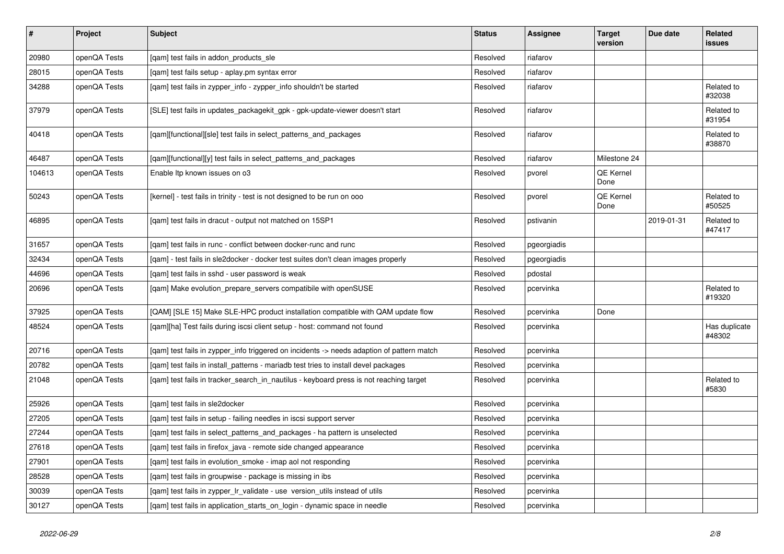| $\vert$ # | <b>Project</b> | <b>Subject</b>                                                                            | <b>Status</b> | <b>Assignee</b> | <b>Target</b><br>version | Due date   | <b>Related</b><br>issues |
|-----------|----------------|-------------------------------------------------------------------------------------------|---------------|-----------------|--------------------------|------------|--------------------------|
| 20980     | openQA Tests   | [gam] test fails in addon products sle                                                    | Resolved      | riafarov        |                          |            |                          |
| 28015     | openQA Tests   | [qam] test fails setup - aplay.pm syntax error                                            | Resolved      | riafarov        |                          |            |                          |
| 34288     | openQA Tests   | [qam] test fails in zypper_info - zypper_info shouldn't be started                        | Resolved      | riafarov        |                          |            | Related to<br>#32038     |
| 37979     | openQA Tests   | [SLE] test fails in updates packagekit gpk - gpk-update-viewer doesn't start              | Resolved      | riafarov        |                          |            | Related to<br>#31954     |
| 40418     | openQA Tests   | [qam][functional][sle] test fails in select_patterns_and_packages                         | Resolved      | riafarov        |                          |            | Related to<br>#38870     |
| 46487     | openQA Tests   | [gam][functional][y] test fails in select patterns and packages                           | Resolved      | riafarov        | Milestone 24             |            |                          |
| 104613    | openQA Tests   | Enable Itp known issues on o3                                                             | Resolved      | pvorel          | QE Kernel<br>Done        |            |                          |
| 50243     | openQA Tests   | [kernel] - test fails in trinity - test is not designed to be run on ooo                  | Resolved      | pvorel          | QE Kernel<br>Done        |            | Related to<br>#50525     |
| 46895     | openQA Tests   | [gam] test fails in dracut - output not matched on 15SP1                                  | Resolved      | pstivanin       |                          | 2019-01-31 | Related to<br>#47417     |
| 31657     | openQA Tests   | [gam] test fails in runc - conflict between docker-runc and runc                          | Resolved      | pgeorgiadis     |                          |            |                          |
| 32434     | openQA Tests   | [qam] - test fails in sle2docker - docker test suites don't clean images properly         | Resolved      | pgeorgiadis     |                          |            |                          |
| 44696     | openQA Tests   | [qam] test fails in sshd - user password is weak                                          | Resolved      | pdostal         |                          |            |                          |
| 20696     | openQA Tests   | [gam] Make evolution prepare servers compatibile with openSUSE                            | Resolved      | pcervinka       |                          |            | Related to<br>#19320     |
| 37925     | openQA Tests   | [QAM] [SLE 15] Make SLE-HPC product installation compatible with QAM update flow          | Resolved      | pcervinka       | Done                     |            |                          |
| 48524     | openQA Tests   | [qam][ha] Test fails during iscsi client setup - host: command not found                  | Resolved      | pcervinka       |                          |            | Has duplicate<br>#48302  |
| 20716     | openQA Tests   | [gam] test fails in zypper info triggered on incidents -> needs adaption of pattern match | Resolved      | pcervinka       |                          |            |                          |
| 20782     | openQA Tests   | [gam] test fails in install patterns - mariadb test tries to install devel packages       | Resolved      | pcervinka       |                          |            |                          |
| 21048     | openQA Tests   | [gam] test fails in tracker_search_in_nautilus - keyboard press is not reaching target    | Resolved      | pcervinka       |                          |            | Related to<br>#5830      |
| 25926     | openQA Tests   | [gam] test fails in sle2docker                                                            | Resolved      | pcervinka       |                          |            |                          |
| 27205     | openQA Tests   | [qam] test fails in setup - failing needles in iscsi support server                       | Resolved      | pcervinka       |                          |            |                          |
| 27244     | openQA Tests   | [gam] test fails in select patterns and packages - ha pattern is unselected               | Resolved      | pcervinka       |                          |            |                          |
| 27618     | openQA Tests   | [gam] test fails in firefox java - remote side changed appearance                         | Resolved      | pcervinka       |                          |            |                          |
| 27901     | openQA Tests   | [gam] test fails in evolution smoke - imap aol not responding                             | Resolved      | pcervinka       |                          |            |                          |
| 28528     | openQA Tests   | [gam] test fails in groupwise - package is missing in ibs                                 | Resolved      | pcervinka       |                          |            |                          |
| 30039     | openQA Tests   | [qam] test fails in zypper_lr_validate - use version_utils instead of utils               | Resolved      | pcervinka       |                          |            |                          |
| 30127     | openQA Tests   | [qam] test fails in application_starts_on_login - dynamic space in needle                 | Resolved      | pcervinka       |                          |            |                          |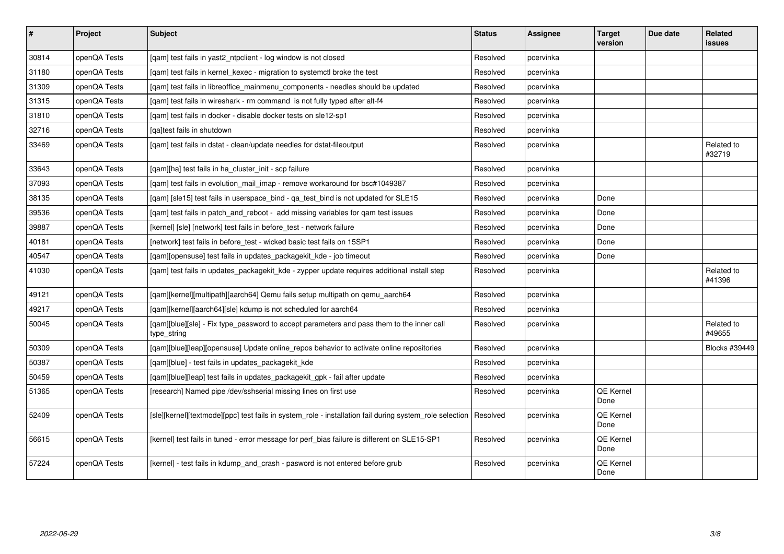| $\sharp$ | Project      | <b>Subject</b>                                                                                           | <b>Status</b> | <b>Assignee</b> | <b>Target</b><br>version | Due date | <b>Related</b><br><b>issues</b> |
|----------|--------------|----------------------------------------------------------------------------------------------------------|---------------|-----------------|--------------------------|----------|---------------------------------|
| 30814    | openQA Tests | [gam] test fails in yast2 ntpclient - log window is not closed                                           | Resolved      | pcervinka       |                          |          |                                 |
| 31180    | openQA Tests | [gam] test fails in kernel kexec - migration to systemctl broke the test                                 | Resolved      | pcervinka       |                          |          |                                 |
| 31309    | openQA Tests | [gam] test fails in libreoffice mainmenu components - needles should be updated                          | Resolved      | pcervinka       |                          |          |                                 |
| 31315    | openQA Tests | [qam] test fails in wireshark - rm command is not fully typed after alt-f4                               | Resolved      | pcervinka       |                          |          |                                 |
| 31810    | openQA Tests | [gam] test fails in docker - disable docker tests on sle12-sp1                                           | Resolved      | pcervinka       |                          |          |                                 |
| 32716    | openQA Tests | [ga]test fails in shutdown                                                                               | Resolved      | pcervinka       |                          |          |                                 |
| 33469    | openQA Tests | [gam] test fails in dstat - clean/update needles for dstat-fileoutput                                    | Resolved      | pcervinka       |                          |          | Related to<br>#32719            |
| 33643    | openQA Tests | [gam][ha] test fails in ha cluster init - scp failure                                                    | Resolved      | pcervinka       |                          |          |                                 |
| 37093    | openQA Tests | [gam] test fails in evolution mail imap - remove workaround for bsc#1049387                              | Resolved      | pcervinka       |                          |          |                                 |
| 38135    | openQA Tests | [qam] [sle15] test fails in userspace_bind - qa_test_bind is not updated for SLE15                       | Resolved      | pcervinka       | Done                     |          |                                 |
| 39536    | openQA Tests | [qam] test fails in patch_and_reboot - add missing variables for qam test issues                         | Resolved      | pcervinka       | Done                     |          |                                 |
| 39887    | openQA Tests | [kernel] [sle] [network] test fails in before test - network failure                                     | Resolved      | pcervinka       | Done                     |          |                                 |
| 40181    | openQA Tests | [network] test fails in before test - wicked basic test fails on 15SP1                                   | Resolved      | pcervinka       | Done                     |          |                                 |
| 40547    | openQA Tests | [qam][opensuse] test fails in updates_packagekit_kde - job timeout                                       | Resolved      | pcervinka       | Done                     |          |                                 |
| 41030    | openQA Tests | [qam] test fails in updates_packagekit_kde - zypper update requires additional install step              | Resolved      | pcervinka       |                          |          | Related to<br>#41396            |
| 49121    | openQA Tests | [qam][kernel][multipath][aarch64] Qemu fails setup multipath on qemu_aarch64                             | Resolved      | pcervinka       |                          |          |                                 |
| 49217    | openQA Tests | [qam][kernel][aarch64][sle] kdump is not scheduled for aarch64                                           | Resolved      | pcervinka       |                          |          |                                 |
| 50045    | openQA Tests | [qam][blue][sle] - Fix type_password to accept parameters and pass them to the inner call<br>type_string | Resolved      | pcervinka       |                          |          | Related to<br>#49655            |
| 50309    | openQA Tests | [qam][blue][leap][opensuse] Update online_repos behavior to activate online repositories                 | Resolved      | pcervinka       |                          |          | Blocks #39449                   |
| 50387    | openQA Tests | [qam][blue] - test fails in updates_packagekit_kde                                                       | Resolved      | pcervinka       |                          |          |                                 |
| 50459    | openQA Tests | [qam][blue][leap] test fails in updates_packagekit_gpk - fail after update                               | Resolved      | pcervinka       |                          |          |                                 |
| 51365    | openQA Tests | [research] Named pipe /dev/sshserial missing lines on first use                                          | Resolved      | pcervinka       | QE Kernel<br>Done        |          |                                 |
| 52409    | openQA Tests | [sle][kernel][textmode][ppc] test fails in system_role - installation fail during system_role selection  | Resolved      | pcervinka       | QE Kernel<br>Done        |          |                                 |
| 56615    | openQA Tests | [kernel] test fails in tuned - error message for perf_bias failure is different on SLE15-SP1             | Resolved      | pcervinka       | QE Kernel<br>Done        |          |                                 |
| 57224    | openQA Tests | [kernel] - test fails in kdump and crash - pasword is not entered before grub                            | Resolved      | pcervinka       | QE Kernel<br>Done        |          |                                 |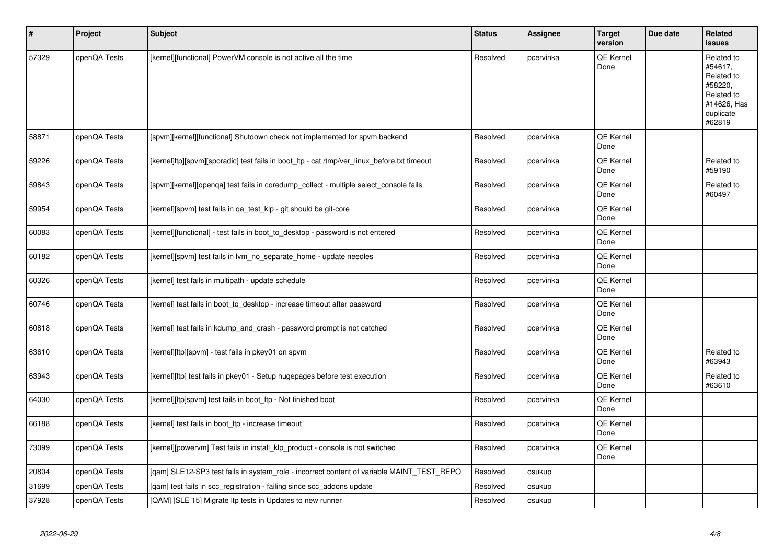| $\sharp$ | Project      | Subject                                                                                     | <b>Status</b> | Assignee  | <b>Target</b><br>version | Due date | Related<br><b>issues</b>                                                                           |
|----------|--------------|---------------------------------------------------------------------------------------------|---------------|-----------|--------------------------|----------|----------------------------------------------------------------------------------------------------|
| 57329    | openQA Tests | [kernel][functional] PowerVM console is not active all the time                             | Resolved      | pcervinka | <b>QE Kernel</b><br>Done |          | Related to<br>#54617,<br>Related to<br>#58220,<br>Related to<br>#14626, Has<br>duplicate<br>#62819 |
| 58871    | openQA Tests | [spvm][kernel][functional] Shutdown check not implemented for spvm backend                  | Resolved      | pcervinka | QE Kernel<br>Done        |          |                                                                                                    |
| 59226    | openQA Tests | [kernel]ltp][spvm][sporadic] test fails in boot_ltp - cat /tmp/ver_linux_before.txt timeout | Resolved      | pcervinka | QE Kernel<br>Done        |          | Related to<br>#59190                                                                               |
| 59843    | openQA Tests | [spvm][kernel][openqa] test fails in coredump_collect - multiple select_console fails       | Resolved      | pcervinka | QE Kernel<br>Done        |          | Related to<br>#60497                                                                               |
| 59954    | openQA Tests | [kernel][spvm] test fails in qa_test_klp - git should be git-core                           | Resolved      | pcervinka | QE Kernel<br>Done        |          |                                                                                                    |
| 60083    | openQA Tests | [kernel][functional] - test fails in boot_to_desktop - password is not entered              | Resolved      | pcervinka | QE Kernel<br>Done        |          |                                                                                                    |
| 60182    | openQA Tests | [kernel][spvm] test fails in lvm_no_separate_home - update needles                          | Resolved      | pcervinka | QE Kernel<br>Done        |          |                                                                                                    |
| 60326    | openQA Tests | [kernel] test fails in multipath - update schedule                                          | Resolved      | pcervinka | QE Kernel<br>Done        |          |                                                                                                    |
| 60746    | openQA Tests | [kernel] test fails in boot to desktop - increase timeout after password                    | Resolved      | pcervinka | QE Kernel<br>Done        |          |                                                                                                    |
| 60818    | openQA Tests | [kernel] test fails in kdump_and_crash - password prompt is not catched                     | Resolved      | pcervinka | QE Kernel<br>Done        |          |                                                                                                    |
| 63610    | openQA Tests | [kernel][ltp][spvm] - test fails in pkey01 on spvm                                          | Resolved      | pcervinka | QE Kernel<br>Done        |          | Related to<br>#63943                                                                               |
| 63943    | openQA Tests | [kernel][ltp] test fails in pkey01 - Setup hugepages before test execution                  | Resolved      | pcervinka | QE Kernel<br>Done        |          | Related to<br>#63610                                                                               |
| 64030    | openQA Tests | [kernel][ltp]spvm] test fails in boot_ltp - Not finished boot                               | Resolved      | pcervinka | QE Kernel<br>Done        |          |                                                                                                    |
| 66188    | openQA Tests | [kernel] test fails in boot Itp - increase timeout                                          | Resolved      | pcervinka | <b>QE Kernel</b><br>Done |          |                                                                                                    |
| 73099    | openQA Tests | [kernel][powervm] Test fails in install klp product - console is not switched               | Resolved      | pcervinka | <b>QE Kernel</b><br>Done |          |                                                                                                    |
| 20804    | openQA Tests | [gam] SLE12-SP3 test fails in system role - incorrect content of variable MAINT TEST REPO   | Resolved      | osukup    |                          |          |                                                                                                    |
| 31699    | openQA Tests | [qam] test fails in scc_registration - failing since scc_addons update                      | Resolved      | osukup    |                          |          |                                                                                                    |
| 37928    | openQA Tests | [QAM] [SLE 15] Migrate Itp tests in Updates to new runner                                   | Resolved      | osukup    |                          |          |                                                                                                    |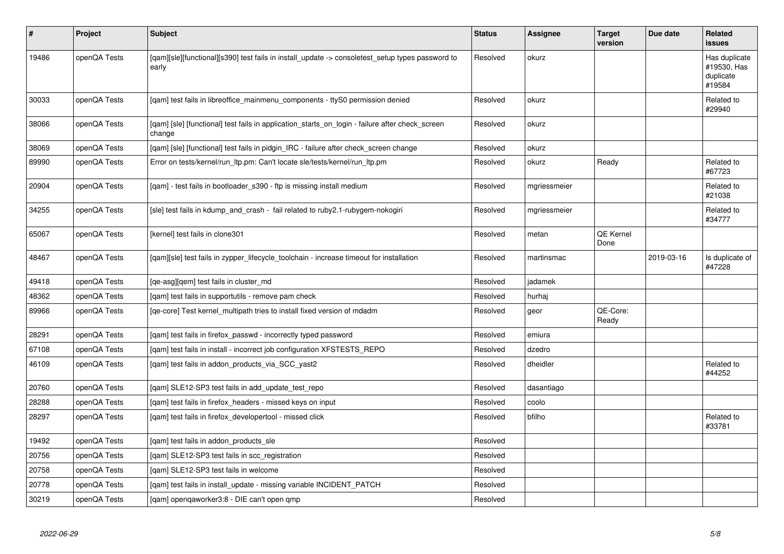| $\vert$ # | Project      | Subject                                                                                                   | <b>Status</b> | <b>Assignee</b> | <b>Target</b><br>version | Due date   | <b>Related</b><br>issues                            |
|-----------|--------------|-----------------------------------------------------------------------------------------------------------|---------------|-----------------|--------------------------|------------|-----------------------------------------------------|
| 19486     | openQA Tests | [qam][sle][functional][s390] test fails in install_update -> consoletest_setup types password to<br>early | Resolved      | okurz           |                          |            | Has duplicate<br>#19530, Has<br>duplicate<br>#19584 |
| 30033     | openQA Tests | [qam] test fails in libreoffice_mainmenu_components - ttyS0 permission denied                             | Resolved      | okurz           |                          |            | Related to<br>#29940                                |
| 38066     | openQA Tests | [gam] [sle] [functional] test fails in application starts on login - failure after check screen<br>change | Resolved      | okurz           |                          |            |                                                     |
| 38069     | openQA Tests | [gam] [sle] [functional] test fails in pidgin IRC - failure after check screen change                     | Resolved      | okurz           |                          |            |                                                     |
| 89990     | openQA Tests | Error on tests/kernel/run_ltp.pm: Can't locate sle/tests/kernel/run_ltp.pm                                | Resolved      | okurz           | Ready                    |            | Related to<br>#67723                                |
| 20904     | openQA Tests | [qam] - test fails in bootloader_s390 - ftp is missing install medium                                     | Resolved      | mgriessmeier    |                          |            | Related to<br>#21038                                |
| 34255     | openQA Tests | [sle] test fails in kdump and crash - fail related to ruby2.1-rubygem-nokogiri                            | Resolved      | mgriessmeier    |                          |            | Related to<br>#34777                                |
| 65067     | openQA Tests | [kernel] test fails in clone301                                                                           | Resolved      | metan           | QE Kernel<br>Done        |            |                                                     |
| 48467     | openQA Tests | [gam][sle] test fails in zypper lifecycle toolchain - increase timeout for installation                   | Resolved      | martinsmac      |                          | 2019-03-16 | Is duplicate of<br>#47228                           |
| 49418     | openQA Tests | [qe-asg][qem] test fails in cluster_md                                                                    | Resolved      | jadamek         |                          |            |                                                     |
| 48362     | openQA Tests | [gam] test fails in supportutils - remove pam check                                                       | Resolved      | hurhaj          |                          |            |                                                     |
| 89966     | openQA Tests | [ge-core] Test kernel multipath tries to install fixed version of mdadm                                   | Resolved      | geor            | QE-Core:<br>Ready        |            |                                                     |
| 28291     | openQA Tests | [qam] test fails in firefox_passwd - incorrectly typed password                                           | Resolved      | emiura          |                          |            |                                                     |
| 67108     | openQA Tests | [qam] test fails in install - incorrect job configuration XFSTESTS_REPO                                   | Resolved      | dzedro          |                          |            |                                                     |
| 46109     | openQA Tests | [gam] test fails in addon products via SCC yast2                                                          | Resolved      | dheidler        |                          |            | Related to<br>#44252                                |
| 20760     | openQA Tests | [gam] SLE12-SP3 test fails in add update test repo                                                        | Resolved      | dasantiago      |                          |            |                                                     |
| 28288     | openQA Tests | [qam] test fails in firefox_headers - missed keys on input                                                | Resolved      | coolo           |                          |            |                                                     |
| 28297     | openQA Tests | [qam] test fails in firefox_developertool - missed click                                                  | Resolved      | bfilho          |                          |            | Related to<br>#33781                                |
| 19492     | openQA Tests | [qam] test fails in addon_products_sle                                                                    | Resolved      |                 |                          |            |                                                     |
| 20756     | openQA Tests | [gam] SLE12-SP3 test fails in scc registration                                                            | Resolved      |                 |                          |            |                                                     |
| 20758     | openQA Tests | [gam] SLE12-SP3 test fails in welcome                                                                     | Resolved      |                 |                          |            |                                                     |
| 20778     | openQA Tests | [qam] test fails in install_update - missing variable INCIDENT_PATCH                                      | Resolved      |                 |                          |            |                                                     |
| 30219     | openQA Tests | [gam] opengaworker3:8 - DIE can't open gmp                                                                | Resolved      |                 |                          |            |                                                     |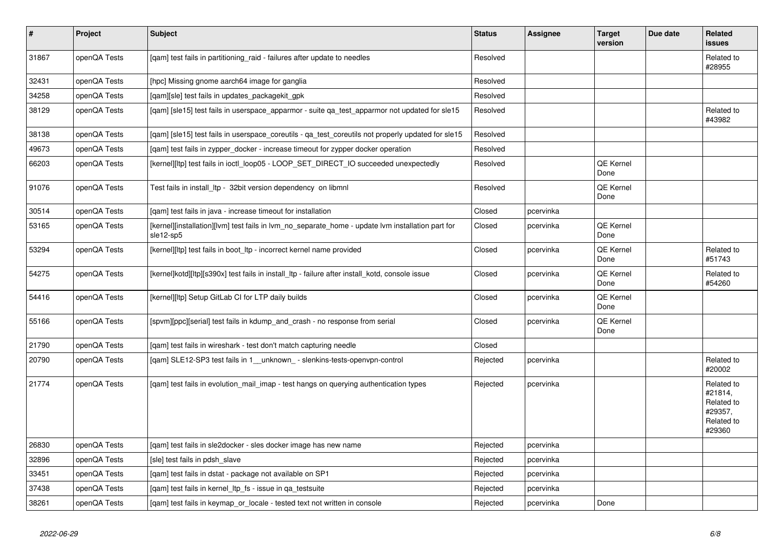| $\pmb{\#}$ | Project      | Subject                                                                                                        | <b>Status</b> | Assignee  | <b>Target</b><br>version | Due date | Related<br><b>issues</b>                                               |
|------------|--------------|----------------------------------------------------------------------------------------------------------------|---------------|-----------|--------------------------|----------|------------------------------------------------------------------------|
| 31867      | openQA Tests | [gam] test fails in partitioning raid - failures after update to needles                                       | Resolved      |           |                          |          | Related to<br>#28955                                                   |
| 32431      | openQA Tests | [hpc] Missing gnome aarch64 image for ganglia                                                                  | Resolved      |           |                          |          |                                                                        |
| 34258      | openQA Tests | [qam][sle] test fails in updates_packagekit_gpk                                                                | Resolved      |           |                          |          |                                                                        |
| 38129      | openQA Tests | [qam] [sle15] test fails in userspace_apparmor - suite qa_test_apparmor not updated for sle15                  | Resolved      |           |                          |          | Related to<br>#43982                                                   |
| 38138      | openQA Tests | [gam] [sle15] test fails in userspace coreutils - ga test coreutils not properly updated for sle15             | Resolved      |           |                          |          |                                                                        |
| 49673      | openQA Tests | [qam] test fails in zypper_docker - increase timeout for zypper docker operation                               | Resolved      |           |                          |          |                                                                        |
| 66203      | openQA Tests | [kernel][ltp] test fails in ioctl_loop05 - LOOP_SET_DIRECT_IO succeeded unexpectedly                           | Resolved      |           | QE Kernel<br>Done        |          |                                                                        |
| 91076      | openQA Tests | Test fails in install Itp - 32bit version dependency on libmnl                                                 | Resolved      |           | QE Kernel<br>Done        |          |                                                                        |
| 30514      | openQA Tests | [qam] test fails in java - increase timeout for installation                                                   | Closed        | pcervinka |                          |          |                                                                        |
| 53165      | openQA Tests | [kernel][installation][lvm] test fails in lvm no separate home - update lvm installation part for<br>sle12-sp5 | Closed        | pcervinka | QE Kernel<br>Done        |          |                                                                        |
| 53294      | openQA Tests | [kernel][ltp] test fails in boot_ltp - incorrect kernel name provided                                          | Closed        | pcervinka | QE Kernel<br>Done        |          | Related to<br>#51743                                                   |
| 54275      | openQA Tests | [kernel]kotd][ltp][s390x] test fails in install_ltp - failure after install_kotd, console issue                | Closed        | pcervinka | QE Kernel<br>Done        |          | Related to<br>#54260                                                   |
| 54416      | openQA Tests | [kernel][ltp] Setup GitLab CI for LTP daily builds                                                             | Closed        | pcervinka | QE Kernel<br>Done        |          |                                                                        |
| 55166      | openQA Tests | [spvm][ppc][serial] test fails in kdump and crash - no response from serial                                    | Closed        | pcervinka | QE Kernel<br>Done        |          |                                                                        |
| 21790      | openQA Tests | [gam] test fails in wireshark - test don't match capturing needle                                              | Closed        |           |                          |          |                                                                        |
| 20790      | openQA Tests | [qam] SLE12-SP3 test fails in 1_unknown_- slenkins-tests-openvpn-control                                       | Rejected      | pcervinka |                          |          | Related to<br>#20002                                                   |
| 21774      | openQA Tests | [gam] test fails in evolution mail imap - test hangs on querying authentication types                          | Rejected      | pcervinka |                          |          | Related to<br>#21814,<br>Related to<br>#29357,<br>Related to<br>#29360 |
| 26830      | openQA Tests | [qam] test fails in sle2docker - sles docker image has new name                                                | Rejected      | pcervinka |                          |          |                                                                        |
| 32896      | openQA Tests | [sle] test fails in pdsh slave                                                                                 | Rejected      | pcervinka |                          |          |                                                                        |
| 33451      | openQA Tests | [gam] test fails in dstat - package not available on SP1                                                       | Rejected      | pcervinka |                          |          |                                                                        |
| 37438      | openQA Tests | [qam] test fails in kernel_ltp_fs - issue in qa_testsuite                                                      | Rejected      | pcervinka |                          |          |                                                                        |
| 38261      | openQA Tests | [gam] test fails in keymap or locale - tested text not written in console                                      | Rejected      | pcervinka | Done                     |          |                                                                        |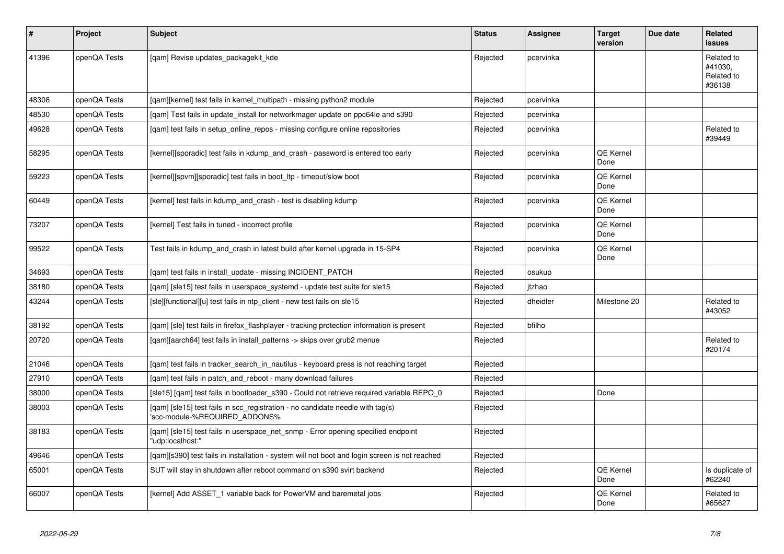| $\vert$ # | <b>Project</b> | <b>Subject</b>                                                                                                  | <b>Status</b> | Assignee  | <b>Target</b><br>version | Due date | <b>Related</b><br>issues                      |
|-----------|----------------|-----------------------------------------------------------------------------------------------------------------|---------------|-----------|--------------------------|----------|-----------------------------------------------|
| 41396     | openQA Tests   | [qam] Revise updates_packagekit_kde                                                                             | Rejected      | pcervinka |                          |          | Related to<br>#41030.<br>Related to<br>#36138 |
| 48308     | openQA Tests   | [gam][kernel] test fails in kernel multipath - missing python2 module                                           | Rejected      | pcervinka |                          |          |                                               |
| 48530     | openQA Tests   | [qam] Test fails in update_install for networkmager update on ppc64le and s390                                  | Rejected      | pcervinka |                          |          |                                               |
| 49628     | openQA Tests   | [qam] test fails in setup_online_repos - missing configure online repositories                                  | Rejected      | pcervinka |                          |          | Related to<br>#39449                          |
| 58295     | openQA Tests   | [kernel][sporadic] test fails in kdump_and_crash - password is entered too early                                | Rejected      | pcervinka | QE Kernel<br>Done        |          |                                               |
| 59223     | openQA Tests   | [kernel][spvm][sporadic] test fails in boot ltp - timeout/slow boot                                             | Rejected      | pcervinka | QE Kernel<br>Done        |          |                                               |
| 60449     | openQA Tests   | [kernel] test fails in kdump and crash - test is disabling kdump                                                | Rejected      | pcervinka | QE Kernel<br>Done        |          |                                               |
| 73207     | openQA Tests   | [kernel] Test fails in tuned - incorrect profile                                                                | Rejected      | pcervinka | QE Kernel<br>Done        |          |                                               |
| 99522     | openQA Tests   | Test fails in kdump and crash in latest build after kernel upgrade in 15-SP4                                    | Rejected      | pcervinka | QE Kernel<br>Done        |          |                                               |
| 34693     | openQA Tests   | [qam] test fails in install_update - missing INCIDENT_PATCH                                                     | Rejected      | osukup    |                          |          |                                               |
| 38180     | openQA Tests   | [qam] [sle15] test fails in userspace_systemd - update test suite for sle15                                     | Rejected      | itzhao    |                          |          |                                               |
| 43244     | openQA Tests   | [sle][functional][u] test fails in ntp client - new test fails on sle15                                         | Rejected      | dheidler  | Milestone 20             |          | Related to<br>#43052                          |
| 38192     | openQA Tests   | [qam] [sle] test fails in firefox_flashplayer - tracking protection information is present                      | Rejected      | bfilho    |                          |          |                                               |
| 20720     | openQA Tests   | [gam][aarch64] test fails in install patterns -> skips over grub2 menue                                         | Rejected      |           |                          |          | Related to<br>#20174                          |
| 21046     | openQA Tests   | [gam] test fails in tracker search in nautilus - keyboard press is not reaching target                          | Rejected      |           |                          |          |                                               |
| 27910     | openQA Tests   | [gam] test fails in patch and reboot - many download failures                                                   | Rejected      |           |                          |          |                                               |
| 38000     | openQA Tests   | [sle15] [qam] test fails in bootloader_s390 - Could not retrieve required variable REPO_0                       | Rejected      |           | Done                     |          |                                               |
| 38003     | openQA Tests   | [qam] [sle15] test fails in scc_registration - no candidate needle with tag(s)<br>'scc-module-%REQUIRED ADDONS% | Rejected      |           |                          |          |                                               |
| 38183     | openQA Tests   | [gam] [sle15] test fails in userspace net snmp - Error opening specified endpoint<br>'udp:localhost:"           | Rejected      |           |                          |          |                                               |
| 49646     | openQA Tests   | [qam][s390] test fails in installation - system will not boot and login screen is not reached                   | Rejected      |           |                          |          |                                               |
| 65001     | openQA Tests   | SUT will stay in shutdown after reboot command on s390 svirt backend                                            | Rejected      |           | QE Kernel<br>Done        |          | Is duplicate of<br>#62240                     |
| 66007     | openQA Tests   | [kernel] Add ASSET_1 variable back for PowerVM and baremetal jobs                                               | Rejected      |           | QE Kernel<br>Done        |          | Related to<br>#65627                          |